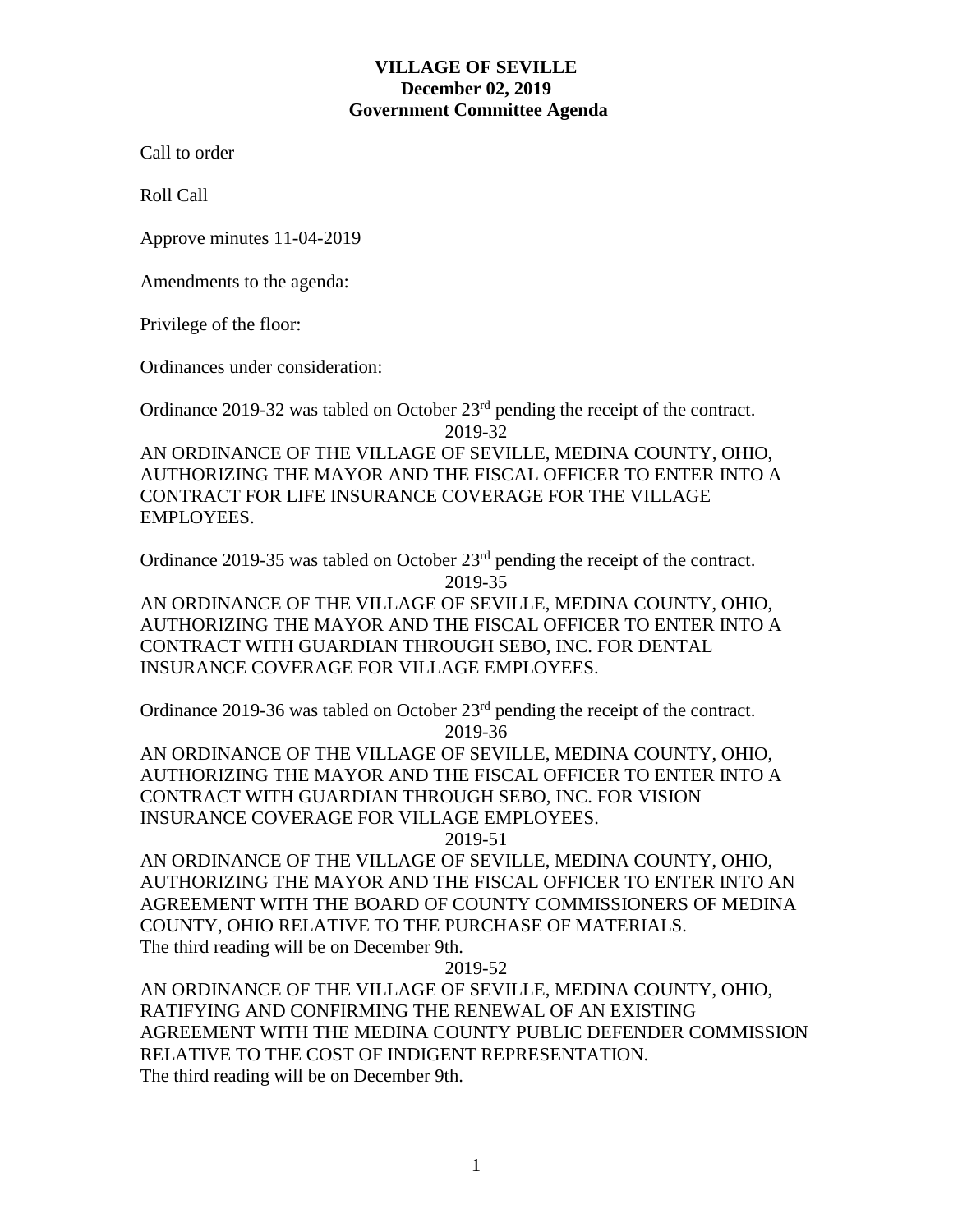## **VILLAGE OF SEVILLE December 02, 2019 Government Committee Agenda**

Call to order

Roll Call

Approve minutes 11-04-2019

Amendments to the agenda:

Privilege of the floor:

Ordinances under consideration:

Ordinance 2019-32 was tabled on October 23rd pending the receipt of the contract. 2019-32

AN ORDINANCE OF THE VILLAGE OF SEVILLE, MEDINA COUNTY, OHIO, AUTHORIZING THE MAYOR AND THE FISCAL OFFICER TO ENTER INTO A CONTRACT FOR LIFE INSURANCE COVERAGE FOR THE VILLAGE EMPLOYEES.

Ordinance 2019-35 was tabled on October 23<sup>rd</sup> pending the receipt of the contract. 2019-35

AN ORDINANCE OF THE VILLAGE OF SEVILLE, MEDINA COUNTY, OHIO, AUTHORIZING THE MAYOR AND THE FISCAL OFFICER TO ENTER INTO A CONTRACT WITH GUARDIAN THROUGH SEBO, INC. FOR DENTAL INSURANCE COVERAGE FOR VILLAGE EMPLOYEES.

Ordinance 2019-36 was tabled on October 23<sup>rd</sup> pending the receipt of the contract. 2019-36

AN ORDINANCE OF THE VILLAGE OF SEVILLE, MEDINA COUNTY, OHIO, AUTHORIZING THE MAYOR AND THE FISCAL OFFICER TO ENTER INTO A CONTRACT WITH GUARDIAN THROUGH SEBO, INC. FOR VISION INSURANCE COVERAGE FOR VILLAGE EMPLOYEES.

2019-51

AN ORDINANCE OF THE VILLAGE OF SEVILLE, MEDINA COUNTY, OHIO, AUTHORIZING THE MAYOR AND THE FISCAL OFFICER TO ENTER INTO AN AGREEMENT WITH THE BOARD OF COUNTY COMMISSIONERS OF MEDINA COUNTY, OHIO RELATIVE TO THE PURCHASE OF MATERIALS. The third reading will be on December 9th.

2019-52

AN ORDINANCE OF THE VILLAGE OF SEVILLE, MEDINA COUNTY, OHIO, RATIFYING AND CONFIRMING THE RENEWAL OF AN EXISTING AGREEMENT WITH THE MEDINA COUNTY PUBLIC DEFENDER COMMISSION RELATIVE TO THE COST OF INDIGENT REPRESENTATION. The third reading will be on December 9th.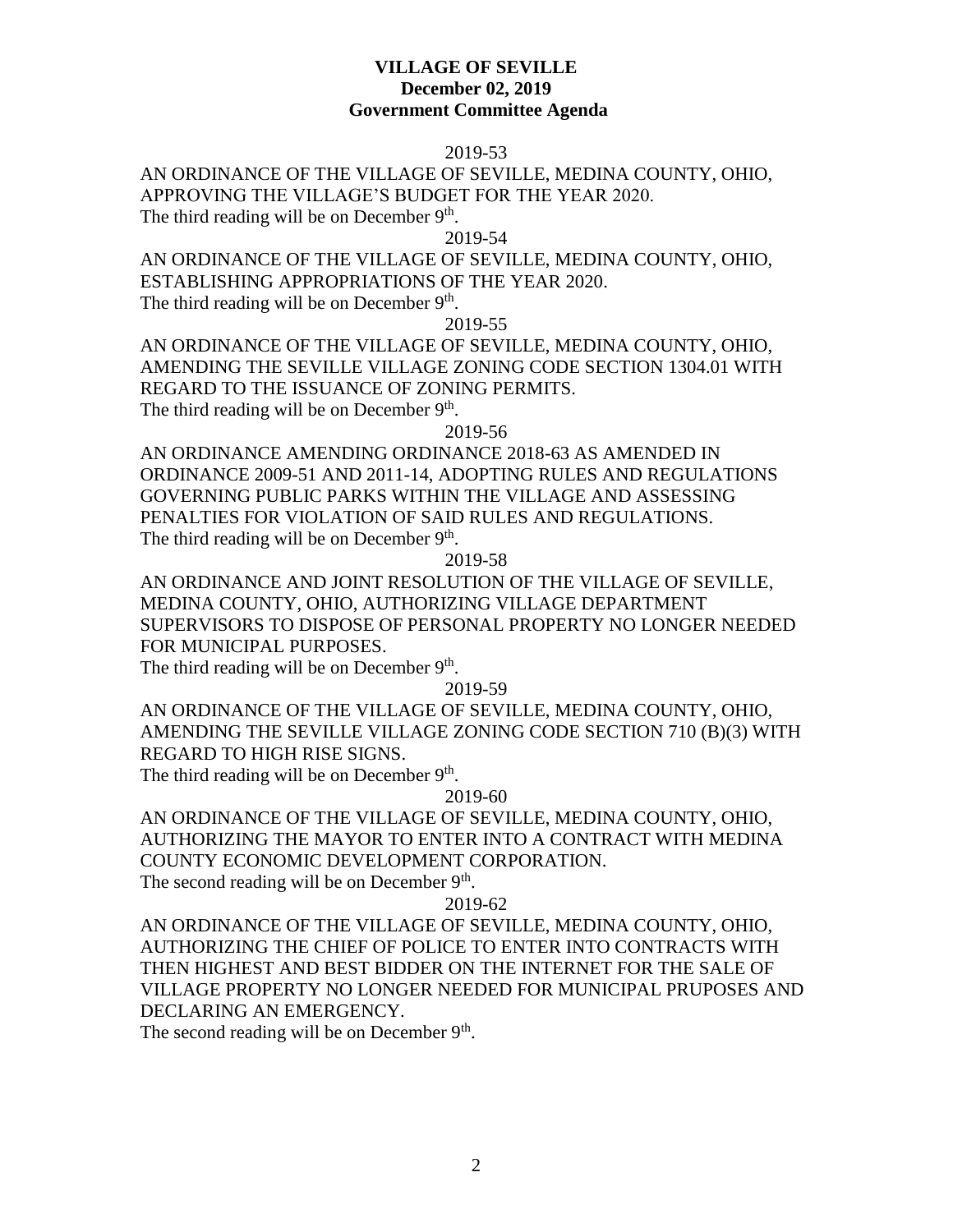#### **VILLAGE OF SEVILLE December 02, 2019 Government Committee Agenda**

#### 2019-53

AN ORDINANCE OF THE VILLAGE OF SEVILLE, MEDINA COUNTY, OHIO, APPROVING THE VILLAGE'S BUDGET FOR THE YEAR 2020. The third reading will be on December  $9<sup>th</sup>$ .

2019-54

AN ORDINANCE OF THE VILLAGE OF SEVILLE, MEDINA COUNTY, OHIO, ESTABLISHING APPROPRIATIONS OF THE YEAR 2020. The third reading will be on December  $9<sup>th</sup>$ .

2019-55

AN ORDINANCE OF THE VILLAGE OF SEVILLE, MEDINA COUNTY, OHIO, AMENDING THE SEVILLE VILLAGE ZONING CODE SECTION 1304.01 WITH REGARD TO THE ISSUANCE OF ZONING PERMITS. The third reading will be on December  $9<sup>th</sup>$ .

2019-56

AN ORDINANCE AMENDING ORDINANCE 2018-63 AS AMENDED IN ORDINANCE 2009-51 AND 2011-14, ADOPTING RULES AND REGULATIONS GOVERNING PUBLIC PARKS WITHIN THE VILLAGE AND ASSESSING PENALTIES FOR VIOLATION OF SAID RULES AND REGULATIONS. The third reading will be on December  $9<sup>th</sup>$ .

2019-58

AN ORDINANCE AND JOINT RESOLUTION OF THE VILLAGE OF SEVILLE, MEDINA COUNTY, OHIO, AUTHORIZING VILLAGE DEPARTMENT SUPERVISORS TO DISPOSE OF PERSONAL PROPERTY NO LONGER NEEDED FOR MUNICIPAL PURPOSES.

The third reading will be on December  $9<sup>th</sup>$ .

2019-59

AN ORDINANCE OF THE VILLAGE OF SEVILLE, MEDINA COUNTY, OHIO, AMENDING THE SEVILLE VILLAGE ZONING CODE SECTION 710 (B)(3) WITH REGARD TO HIGH RISE SIGNS.

The third reading will be on December  $9<sup>th</sup>$ .

## 2019-60

AN ORDINANCE OF THE VILLAGE OF SEVILLE, MEDINA COUNTY, OHIO, AUTHORIZING THE MAYOR TO ENTER INTO A CONTRACT WITH MEDINA COUNTY ECONOMIC DEVELOPMENT CORPORATION.

The second reading will be on December 9<sup>th</sup>.

### 2019-62

AN ORDINANCE OF THE VILLAGE OF SEVILLE, MEDINA COUNTY, OHIO, AUTHORIZING THE CHIEF OF POLICE TO ENTER INTO CONTRACTS WITH THEN HIGHEST AND BEST BIDDER ON THE INTERNET FOR THE SALE OF VILLAGE PROPERTY NO LONGER NEEDED FOR MUNICIPAL PRUPOSES AND DECLARING AN EMERGENCY.

The second reading will be on December 9<sup>th</sup>.